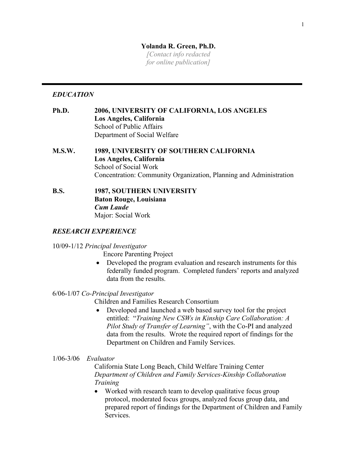# **Yolanda R. Green, Ph.D.**

*[Contact info redacted for online publication]*

# *EDUCATION*

- **Ph.D. 2006, UNIVERSITY OF CALIFORNIA, LOS ANGELES Los Angeles, California** School of Public Affairs Department of Social Welfare
- **M.S.W. 1989, UNIVERSITY OF SOUTHERN CALIFORNIA Los Angeles, California** School of Social Work Concentration: Community Organization, Planning and Administration
- **B.S. 1987, SOUTHERN UNIVERSITY Baton Rouge, Louisiana**  *Cum Laude*  Major: Social Work

# *RESEARCH EXPERIENCE*

## 10/09-1/12 *Principal Investigator*

Encore Parenting Project

• Developed the program evaluation and research instruments for this federally funded program. Completed funders' reports and analyzed data from the results.

## 6/06-1/07 *Co-Principal Investigator*

Children and Families Research Consortium

• Developed and launched a web based survey tool for the project entitled: "*Training New CSWs in Kinship Care Collaboration: A Pilot Study of Transfer of Learning"*, with the Co-PI and analyzed data from the results. Wrote the required report of findings for the Department on Children and Family Services.

## 1/06-3/06 *Evaluator*

California State Long Beach, Child Welfare Training Center *Department of Children and Family Services-Kinship Collaboration Training*

• Worked with research team to develop qualitative focus group protocol, moderated focus groups, analyzed focus group data, and prepared report of findings for the Department of Children and Family Services.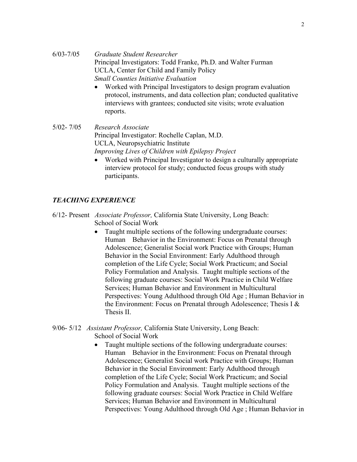- Worked with Principal Investigators to design program evaluation protocol, instruments, and data collection plan; conducted qualitative interviews with grantees; conducted site visits; wrote evaluation reports.
- 5/02- 7/05 *Research Associate* Principal Investigator: Rochelle Caplan, M.D. UCLA, Neuropsychiatric Institute *Improving Lives of Children with Epilepsy Project*
	- Worked with Principal Investigator to design a culturally appropriate interview protocol for study; conducted focus groups with study participants.

# *TEACHING EXPERIENCE*

- 6/12- Present *Associate Professor,* California State University, Long Beach: School of Social Work
	- Taught multiple sections of the following undergraduate courses: Human Behavior in the Environment: Focus on Prenatal through Adolescence; Generalist Social work Practice with Groups; Human Behavior in the Social Environment: Early Adulthood through completion of the Life Cycle; Social Work Practicum; and Social Policy Formulation and Analysis. Taught multiple sections of the following graduate courses: Social Work Practice in Child Welfare Services; Human Behavior and Environment in Multicultural Perspectives: Young Adulthood through Old Age ; Human Behavior in the Environment: Focus on Prenatal through Adolescence; Thesis I & Thesis II.
- 9/06- 5/12 *Assistant Professor,* California State University, Long Beach: School of Social Work
	- Taught multiple sections of the following undergraduate courses: Human Behavior in the Environment: Focus on Prenatal through Adolescence; Generalist Social work Practice with Groups; Human Behavior in the Social Environment: Early Adulthood through completion of the Life Cycle; Social Work Practicum; and Social Policy Formulation and Analysis. Taught multiple sections of the following graduate courses: Social Work Practice in Child Welfare Services; Human Behavior and Environment in Multicultural Perspectives: Young Adulthood through Old Age ; Human Behavior in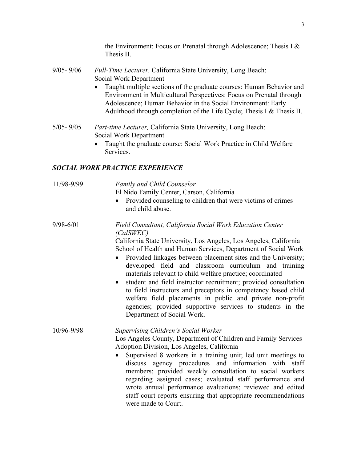the Environment: Focus on Prenatal through Adolescence; Thesis I & Thesis II.

- 9/05- 9/06 *Full-Time Lecturer,* California State University, Long Beach: Social Work Department
	- Taught multiple sections of the graduate courses: Human Behavior and Environment in Multicultural Perspectives: Focus on Prenatal through Adolescence; Human Behavior in the Social Environment: Early Adulthood through completion of the Life Cycle; Thesis I & Thesis II.
- 5/05- 9/05 *Part-time Lecturer,* California State University, Long Beach: Social Work Department
	- Taught the graduate course: Social Work Practice in Child Welfare Services.

### *SOCIAL WORK PRACTICE EXPERIENCE*

11/98-9/99 *Family and Child Counselor* 

El Nido Family Center, Carson, California

• Provided counseling to children that were victims of crimes and child abuse.

# 9/98-6/01 *Field Consultant, California Social Work Education Center (CalSWEC)*

California State University, Los Angeles, Los Angeles, California School of Health and Human Services, Department of Social Work

- Provided linkages between placement sites and the University; developed field and classroom curriculum and training materials relevant to child welfare practice; coordinated
- student and field instructor recruitment; provided consultation to field instructors and preceptors in competency based child welfare field placements in public and private non-profit agencies; provided supportive services to students in the Department of Social Work.

10/96-9/98 *Supervising Children's Social Worker*

Los Angeles County, Department of Children and Family Services Adoption Division, Los Angeles, California

• Supervised 8 workers in a training unit; led unit meetings to discuss agency procedures and information with staff members; provided weekly consultation to social workers regarding assigned cases; evaluated staff performance and wrote annual performance evaluations; reviewed and edited staff court reports ensuring that appropriate recommendations were made to Court.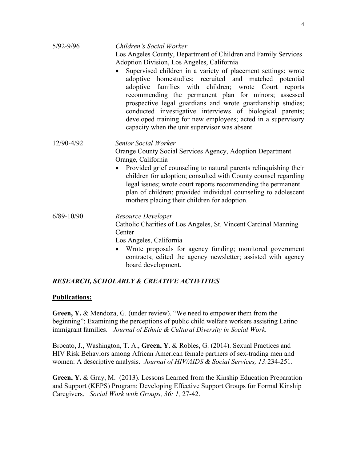| $5/92 - 9/96$  | Children's Social Worker                                                                                                                                                                                                                                                                                                                                                                                                                                                            |
|----------------|-------------------------------------------------------------------------------------------------------------------------------------------------------------------------------------------------------------------------------------------------------------------------------------------------------------------------------------------------------------------------------------------------------------------------------------------------------------------------------------|
|                | Los Angeles County, Department of Children and Family Services                                                                                                                                                                                                                                                                                                                                                                                                                      |
|                | Adoption Division, Los Angeles, California                                                                                                                                                                                                                                                                                                                                                                                                                                          |
|                | Supervised children in a variety of placement settings; wrote<br>adoptive homestudies; recruited and matched potential<br>adoptive families with children; wrote Court reports<br>recommending the permanent plan for minors; assessed<br>prospective legal guardians and wrote guardianship studies;<br>conducted investigative interviews of biological parents;<br>developed training for new employees; acted in a supervisory<br>capacity when the unit supervisor was absent. |
| 12/90-4/92     | Senior Social Worker                                                                                                                                                                                                                                                                                                                                                                                                                                                                |
|                | Orange County Social Services Agency, Adoption Department                                                                                                                                                                                                                                                                                                                                                                                                                           |
|                | Orange, California                                                                                                                                                                                                                                                                                                                                                                                                                                                                  |
|                | Provided grief counseling to natural parents relinquishing their                                                                                                                                                                                                                                                                                                                                                                                                                    |
|                | children for adoption; consulted with County counsel regarding                                                                                                                                                                                                                                                                                                                                                                                                                      |
|                | legal issues; wrote court reports recommending the permanent                                                                                                                                                                                                                                                                                                                                                                                                                        |
|                | plan of children; provided individual counseling to adolescent                                                                                                                                                                                                                                                                                                                                                                                                                      |
|                | mothers placing their children for adoption.                                                                                                                                                                                                                                                                                                                                                                                                                                        |
| $6/89 - 10/90$ | Resource Developer                                                                                                                                                                                                                                                                                                                                                                                                                                                                  |
|                | Catholic Charities of Los Angeles, St. Vincent Cardinal Manning                                                                                                                                                                                                                                                                                                                                                                                                                     |
|                | Center                                                                                                                                                                                                                                                                                                                                                                                                                                                                              |
|                | Los Angeles, California                                                                                                                                                                                                                                                                                                                                                                                                                                                             |
|                | Wrote proposals for agency funding; monitored government<br>$\bullet$                                                                                                                                                                                                                                                                                                                                                                                                               |
|                | contracts; edited the agency newsletter; assisted with agency                                                                                                                                                                                                                                                                                                                                                                                                                       |
|                | board development.                                                                                                                                                                                                                                                                                                                                                                                                                                                                  |

## *RESEARCH, SCHOLARLY & CREATIVE ACTIVITIES*

### **Publications:**

**Green, Y.** & Mendoza, G. (under review). "We need to empower them from the beginning": Examining the perceptions of public child welfare workers assisting Latino immigrant families. *Journal of Ethnic & Cultural Diversity in Social Work.*

Brocato, J., Washington, T. A., **Green, Y**. & Robles, G. (2014). Sexual Practices and HIV Risk Behaviors among African American female partners of sex-trading men and women: A descriptive analysis. *Journal of HIV/AIDS & Social Services, 13:*234-251*.*

**Green, Y.** & Gray, M. (2013). Lessons Learned from the Kinship Education Preparation and Support (KEPS) Program: Developing Effective Support Groups for Formal Kinship Caregivers. *Social Work with Groups, 36: 1,* 27-42.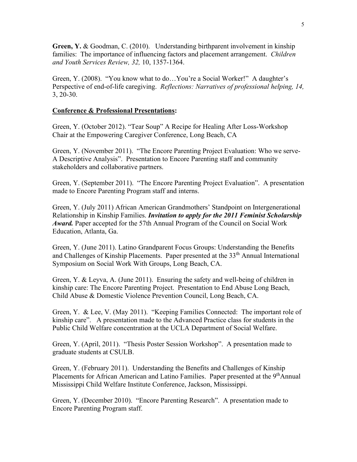**Green, Y.** & Goodman, C. (2010). Understanding birthparent involvement in kinship families: The importance of influencing factors and placement arrangement. *Children and Youth Services Review, 32,* 10, 1357-1364.

Green, Y. (2008). "You know what to do…You're a Social Worker!" A daughter's Perspective of end-of-life caregiving. *Reflections: Narratives of professional helping, 14,* 3, 20-30.

### **Conference & Professional Presentations:**

Green, Y. (October 2012). "Tear Soup" A Recipe for Healing After Loss-Workshop Chair at the Empowering Caregiver Conference, Long Beach, CA

Green, Y. (November 2011). "The Encore Parenting Project Evaluation: Who we serve-A Descriptive Analysis". Presentation to Encore Parenting staff and community stakeholders and collaborative partners.

Green, Y. (September 2011). "The Encore Parenting Project Evaluation". A presentation made to Encore Parenting Program staff and interns.

Green, Y. (July 2011) African American Grandmothers' Standpoint on Intergenerational Relationship in Kinship Families. *Invitation to apply for the 2011 Feminist Scholarship Award.* Paper accepted for the 57th Annual Program of the Council on Social Work Education, Atlanta, Ga.

Green, Y. (June 2011). Latino Grandparent Focus Groups: Understanding the Benefits and Challenges of Kinship Placements. Paper presented at the 33<sup>th</sup> Annual International Symposium on Social Work With Groups, Long Beach, CA.

Green, Y. & Leyva, A. (June 2011). Ensuring the safety and well-being of children in kinship care: The Encore Parenting Project. Presentation to End Abuse Long Beach, Child Abuse & Domestic Violence Prevention Council, Long Beach, CA.

Green, Y. & Lee, V. (May 2011). "Keeping Families Connected: The important role of kinship care". A presentation made to the Advanced Practice class for students in the Public Child Welfare concentration at the UCLA Department of Social Welfare.

Green, Y. (April, 2011). "Thesis Poster Session Workshop". A presentation made to graduate students at CSULB.

Green, Y. (February 2011). Understanding the Benefits and Challenges of Kinship Placements for African American and Latino Families. Paper presented at the 9<sup>th</sup>Annual Mississippi Child Welfare Institute Conference, Jackson, Mississippi.

Green, Y. (December 2010). "Encore Parenting Research". A presentation made to Encore Parenting Program staff.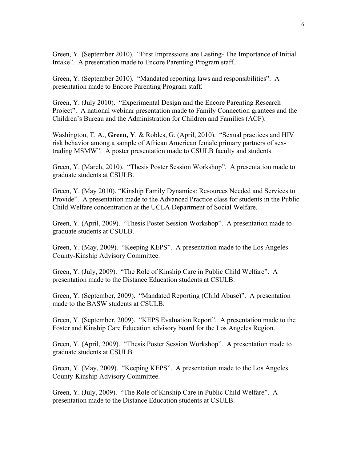Green, Y. (September 2010). "First Impressions are Lasting- The Importance of Initial Intake". A presentation made to Encore Parenting Program staff.

Green, Y. (September 2010). "Mandated reporting laws and responsibilities". A presentation made to Encore Parenting Program staff.

Green, Y. (July 2010). "Experimental Design and the Encore Parenting Research Project". A national webinar presentation made to Family Connection grantees and the Children's Bureau and the Administration for Children and Families (ACF).

Washington, T. A., **Green, Y**. & Robles, G. (April, 2010). "Sexual practices and HIV risk behavior among a sample of African American female primary partners of sextrading MSMW". A poster presentation made to CSULB faculty and students.

Green, Y. (March, 2010). "Thesis Poster Session Workshop". A presentation made to graduate students at CSULB.

Green, Y. (May 2010). "Kinship Family Dynamics: Resources Needed and Services to Provide". A presentation made to the Advanced Practice class for students in the Public Child Welfare concentration at the UCLA Department of Social Welfare.

Green, Y. (April, 2009). "Thesis Poster Session Workshop". A presentation made to graduate students at CSULB.

Green, Y. (May, 2009). "Keeping KEPS". A presentation made to the Los Angeles County-Kinship Advisory Committee.

Green, Y. (July, 2009). "The Role of Kinship Care in Public Child Welfare". A presentation made to the Distance Education students at CSULB.

Green, Y. (September, 2009). "Mandated Reporting (Child Abuse)". A presentation made to the BASW students at CSULB.

Green, Y. (September, 2009). "KEPS Evaluation Report". A presentation made to the Foster and Kinship Care Education advisory board for the Los Angeles Region.

Green, Y. (April, 2009). "Thesis Poster Session Workshop". A presentation made to graduate students at CSULB

Green, Y. (May, 2009). "Keeping KEPS". A presentation made to the Los Angeles County-Kinship Advisory Committee.

Green, Y. (July, 2009). "The Role of Kinship Care in Public Child Welfare". A presentation made to the Distance Education students at CSULB.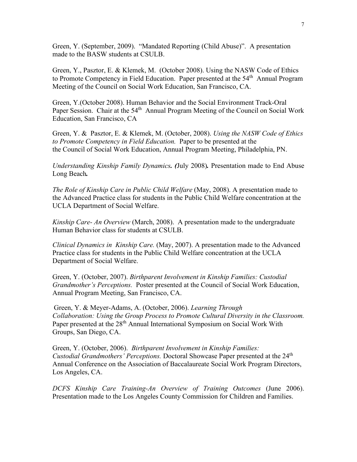Green, Y. (September, 2009). "Mandated Reporting (Child Abuse)". A presentation made to the BASW students at CSULB.

Green, Y., Pasztor, E. & Klemek, M. (October 2008). Using the NASW Code of Ethics to Promote Competency in Field Education. Paper presented at the 54<sup>th</sup> Annual Program Meeting of the Council on Social Work Education, San Francisco, CA.

Green, Y.(October 2008). Human Behavior and the Social Environment Track-Oral Paper Session. Chair at the 54<sup>th</sup> Annual Program Meeting of the Council on Social Work Education, San Francisco, CA

Green, Y. & Pasztor, E. & Klemek, M. (October, 2008). *Using the NASW Code of Ethics to Promote Competency in Field Education.* Paper to be presented at the the Council of Social Work Education, Annual Program Meeting, Philadelphia, PN.

*Understanding Kinship Family Dynamics. (*July 2008)*.* Presentation made to End Abuse Long Beach*.*

*The Role of Kinship Care in Public Child Welfare* (May, 2008). A presentation made to the Advanced Practice class for students in the Public Child Welfare concentration at the UCLA Department of Social Welfare.

*Kinship Care- An Overview* (March, 2008). A presentation made to the undergraduate Human Behavior class for students at CSULB.

*Clinical Dynamics in Kinship Care.* (May, 2007). A presentation made to the Advanced Practice class for students in the Public Child Welfare concentration at the UCLA Department of Social Welfare.

Green, Y. (October, 2007). *Birthparent Involvement in Kinship Families: Custodial Grandmother's Perceptions.* Poster presented at the Council of Social Work Education, Annual Program Meeting, San Francisco, CA.

Green, Y. & Meyer-Adams, A. (October, 2006). *Learning Through Collaboration: Using the Group Process to Promote Cultural Diversity in the Classroom.*  Paper presented at the 28<sup>th</sup> Annual International Symposium on Social Work With Groups, San Diego, CA.

Green, Y. (October, 2006). *Birthparent Involvement in Kinship Families: Custodial Grandmothers' Perceptions.* Doctoral Showcase Paper presented at the 24<sup>th</sup> Annual Conference on the Association of Baccalaureate Social Work Program Directors, Los Angeles, CA.

*DCFS Kinship Care Training-An Overview of Training Outcomes* (June 2006). Presentation made to the Los Angeles County Commission for Children and Families.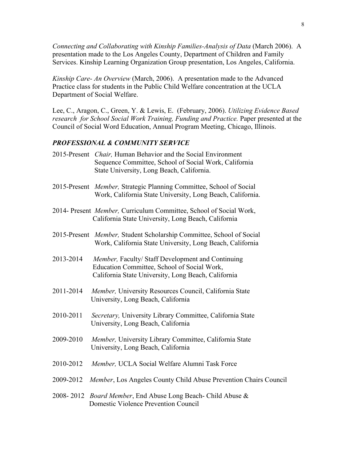*Connecting and Collaborating with Kinship Families-Analysis of Data* (March 2006). A presentation made to the Los Angeles County, Department of Children and Family Services. Kinship Learning Organization Group presentation, Los Angeles, California.

*Kinship Care- An Overview* (March, 2006). A presentation made to the Advanced Practice class for students in the Public Child Welfare concentration at the UCLA Department of Social Welfare.

Lee, C., Aragon, C., Green, Y. & Lewis, E. (February, 2006). *Utilizing Evidence Based research for School Social Work Training, Funding and Practice.* Paper presented at the Council of Social Word Education, Annual Program Meeting, Chicago, Illinois.

### *PROFESSIONAL & COMMUNITY SERVICE*

| 2015-Present <i>Chair</i> , Human Behavior and the Social Environment |
|-----------------------------------------------------------------------|
| Sequence Committee, School of Social Work, California                 |
| State University, Long Beach, California.                             |

- 2015-Present *Member,* Strategic Planning Committee, School of Social Work, California State University, Long Beach, California.
- 2014- Present *Member,* Curriculum Committee, School of Social Work, California State University, Long Beach, California
- 2015-Present *Member,* Student Scholarship Committee, School of Social Work, California State University, Long Beach, California
- 2013-2014 *Member,* Faculty/ Staff Development and Continuing Education Committee, School of Social Work, California State University, Long Beach, California
- 2011-2014 *Member,* University Resources Council, California State University, Long Beach, California
- 2010-2011 *Secretary,* University Library Committee, California State University, Long Beach, California
- 2009-2010 *Member,* University Library Committee, California State University, Long Beach, California
- 2010-2012 *Member,* UCLA Social Welfare Alumni Task Force
- 2009-2012 *Member*, Los Angeles County Child Abuse Prevention Chairs Council
- 2008- 2012 *Board Member*, End Abuse Long Beach- Child Abuse & Domestic Violence Prevention Council